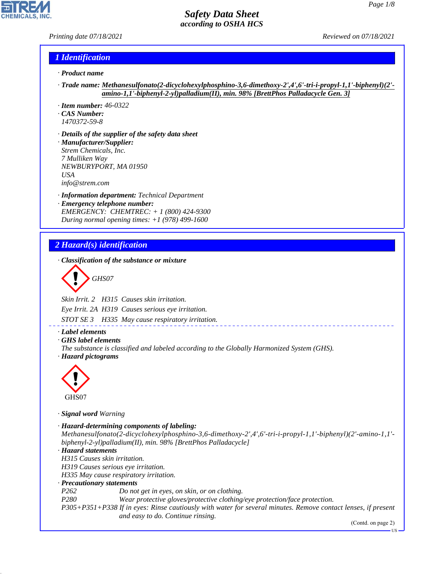*Printing date 07/18/2021 Reviewed on 07/18/2021*

#### *1 Identification*

- *· Product name*
- *· Trade name: Methanesulfonato(2-dicyclohexylphosphino-3,6-dimethoxy-2',4',6'-tri-i-propyl-1,1'-biphenyl)(2' amino-1,1'-biphenyl-2-yl)palladium(II), min. 98% [BrettPhos Palladacycle Gen. 3]*
- *· Item number: 46-0322*
- *· CAS Number: 1470372-59-8*
- *· Details of the supplier of the safety data sheet · Manufacturer/Supplier: Strem Chemicals, Inc. 7 Mulliken Way NEWBURYPORT, MA 01950 USA info@strem.com*
- *· Information department: Technical Department · Emergency telephone number: EMERGENCY: CHEMTREC: + 1 (800) 424-9300 During normal opening times: +1 (978) 499-1600*

# *2 Hazard(s) identification*

*· Classification of the substance or mixture*

$$
\bigotimes \mathrm{GH}S07
$$

*Skin Irrit. 2 H315 Causes skin irritation.*

*Eye Irrit. 2A H319 Causes serious eye irritation.*

*STOT SE 3 H335 May cause respiratory irritation.*

#### *· Label elements*

- *· GHS label elements*
- *The substance is classified and labeled according to the Globally Harmonized System (GHS). · Hazard pictograms*



GHS07

44.1.1

*· Signal word Warning*

```
· Hazard-determining components of labeling:
Methanesulfonato(2-dicyclohexylphosphino-3,6-dimethoxy-2',4',6'-tri-i-propyl-1,1'-biphenyl)(2'-amino-1,1'-
biphenyl-2-yl)palladium(II), min. 98% [BrettPhos Palladacycle]
· Hazard statements
H315 Causes skin irritation.
H319 Causes serious eye irritation.
H335 May cause respiratory irritation.
· Precautionary statements
P262 Do not get in eyes, on skin, or on clothing.
P280 Wear protective gloves/protective clothing/eye protection/face protection.
P305+P351+P338 If in eyes: Rinse cautiously with water for several minutes. Remove contact lenses, if present
                   and easy to do. Continue rinsing.
                                                                                             (Contd. on page 2)
```
US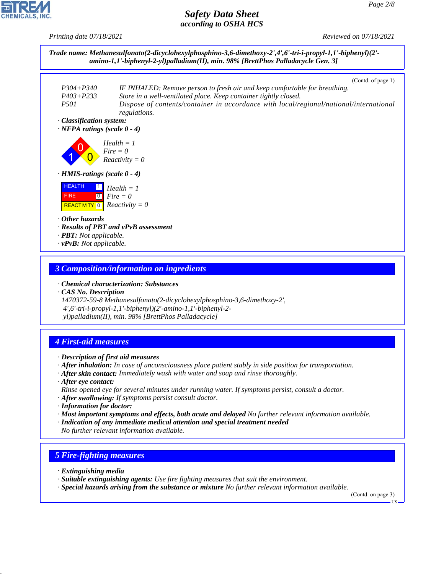*Printing date 07/18/2021 Reviewed on 07/18/2021*



#### *3 Composition/information on ingredients*

*· Chemical characterization: Substances*

*· CAS No. Description*

*1470372-59-8 Methanesulfonato(2-dicyclohexylphosphino-3,6-dimethoxy-2', 4',6'-tri-i-propyl-1,1'-biphenyl)(2'-amino-1,1'-biphenyl-2 yl)palladium(II), min. 98% [BrettPhos Palladacycle]*

## *4 First-aid measures*

- *· Description of first aid measures*
- *· After inhalation: In case of unconsciousness place patient stably in side position for transportation.*
- *· After skin contact: Immediately wash with water and soap and rinse thoroughly.*
- *· After eye contact: Rinse opened eye for several minutes under running water. If symptoms persist, consult a doctor.*
- *· After swallowing: If symptoms persist consult doctor.*
- *· Information for doctor:*
- *· Most important symptoms and effects, both acute and delayed No further relevant information available.*
- *· Indication of any immediate medical attention and special treatment needed No further relevant information available.*

## *5 Fire-fighting measures*

*· Extinguishing media*

44.1.1

- *· Suitable extinguishing agents: Use fire fighting measures that suit the environment.*
- *· Special hazards arising from the substance or mixture No further relevant information available.*

(Contd. on page 3) US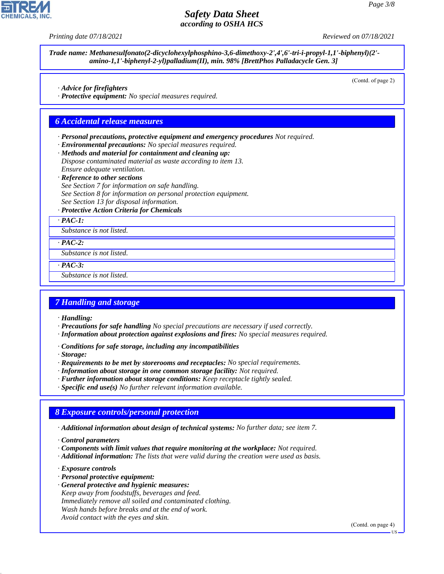

*Trade name: Methanesulfonato(2-dicyclohexylphosphino-3,6-dimethoxy-2',4',6'-tri-i-propyl-1,1'-biphenyl)(2' amino-1,1'-biphenyl-2-yl)palladium(II), min. 98% [BrettPhos Palladacycle Gen. 3]*

(Contd. of page 2)

*· Advice for firefighters*

*· Protective equipment: No special measures required.*

#### *6 Accidental release measures*

*· Personal precautions, protective equipment and emergency procedures Not required.*

- *· Environmental precautions: No special measures required.*
- *· Methods and material for containment and cleaning up:*
- *Dispose contaminated material as waste according to item 13. Ensure adequate ventilation.*
- *· Reference to other sections*

*See Section 7 for information on safe handling. See Section 8 for information on personal protection equipment. See Section 13 for disposal information.*

*· Protective Action Criteria for Chemicals*

*· PAC-1:*

*Substance is not listed.*

*· PAC-2:*

*Substance is not listed.*

*· PAC-3:*

*Substance is not listed.*

#### *7 Handling and storage*

*· Handling:*

- *· Precautions for safe handling No special precautions are necessary if used correctly.*
- *· Information about protection against explosions and fires: No special measures required.*
- *· Conditions for safe storage, including any incompatibilities*
- *· Storage:*
- *· Requirements to be met by storerooms and receptacles: No special requirements.*
- *· Information about storage in one common storage facility: Not required.*
- *· Further information about storage conditions: Keep receptacle tightly sealed.*
- *· Specific end use(s) No further relevant information available.*

#### *8 Exposure controls/personal protection*

*· Additional information about design of technical systems: No further data; see item 7.*

*· Control parameters*

- *· Components with limit values that require monitoring at the workplace: Not required.*
- *· Additional information: The lists that were valid during the creation were used as basis.*

*· Exposure controls*

44.1.1

- *· Personal protective equipment:*
- *· General protective and hygienic measures: Keep away from foodstuffs, beverages and feed. Immediately remove all soiled and contaminated clothing. Wash hands before breaks and at the end of work. Avoid contact with the eyes and skin.*

(Contd. on page 4)

US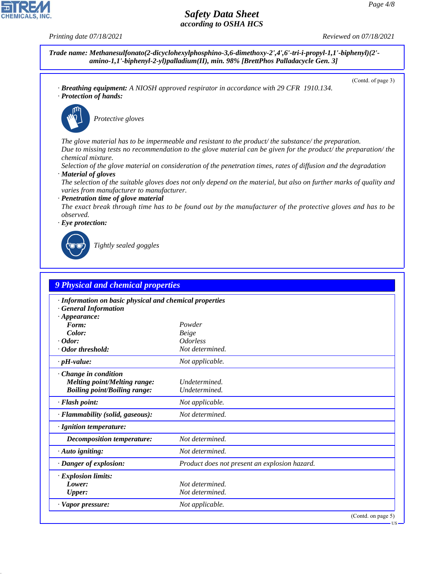**CHEMICALS, INC** 

*Printing date 07/18/2021 Reviewed on 07/18/2021*

*Trade name: Methanesulfonato(2-dicyclohexylphosphino-3,6-dimethoxy-2',4',6'-tri-i-propyl-1,1'-biphenyl)(2' amino-1,1'-biphenyl-2-yl)palladium(II), min. 98% [BrettPhos Palladacycle Gen. 3]*

*· Breathing equipment: A NIOSH approved respirator in accordance with 29 CFR 1910.134. · Protection of hands:*



\_S*Protective gloves*

*The glove material has to be impermeable and resistant to the product/ the substance/ the preparation. Due to missing tests no recommendation to the glove material can be given for the product/ the preparation/ the chemical mixture.*

*Selection of the glove material on consideration of the penetration times, rates of diffusion and the degradation · Material of gloves*

*The selection of the suitable gloves does not only depend on the material, but also on further marks of quality and varies from manufacturer to manufacturer.*

*· Penetration time of glove material*

*The exact break through time has to be found out by the manufacturer of the protective gloves and has to be observed.*

*· Eye protection:*



44.1.1

\_R*Tightly sealed goggles*

| · Information on basic physical and chemical properties |                                               |  |
|---------------------------------------------------------|-----------------------------------------------|--|
| <b>General Information</b>                              |                                               |  |
| $\cdot$ Appearance:                                     |                                               |  |
| Form:                                                   | Powder                                        |  |
| Color:<br>$\cdot$ Odor:                                 | <b>Beige</b><br><i><u><b>Odorless</b></u></i> |  |
| · Odor threshold:                                       | Not determined.                               |  |
|                                                         |                                               |  |
| $\cdot$ pH-value:                                       | Not applicable.                               |  |
| Change in condition                                     |                                               |  |
| <b>Melting point/Melting range:</b>                     | Undetermined.                                 |  |
| <b>Boiling point/Boiling range:</b>                     | Undetermined.                                 |  |
| $\cdot$ Flash point:                                    | Not applicable.                               |  |
| · Flammability (solid, gaseous):                        | Not determined.                               |  |
| · Ignition temperature:                                 |                                               |  |
| <b>Decomposition temperature:</b>                       | Not determined.                               |  |
| $\cdot$ Auto igniting:                                  | Not determined.                               |  |
| · Danger of explosion:                                  | Product does not present an explosion hazard. |  |
| $\cdot$ Explosion limits:                               |                                               |  |
| Lower:                                                  | Not determined.                               |  |
| <b>Upper:</b>                                           | Not determined.                               |  |
| · Vapor pressure:                                       | Not applicable.                               |  |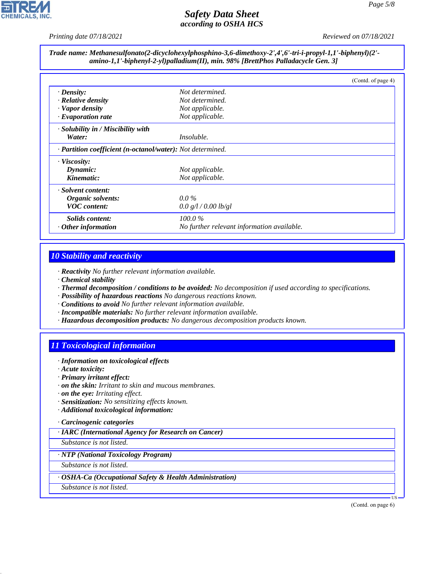

*Printing date 07/18/2021 Reviewed on 07/18/2021*

*Trade name: Methanesulfonato(2-dicyclohexylphosphino-3,6-dimethoxy-2',4',6'-tri-i-propyl-1,1'-biphenyl)(2' amino-1,1'-biphenyl-2-yl)palladium(II), min. 98% [BrettPhos Palladacycle Gen. 3]*

|                                                            |                                            | (Contd. of page 4) |
|------------------------------------------------------------|--------------------------------------------|--------------------|
| $\cdot$ Density:                                           | Not determined.                            |                    |
| · Relative density                                         | Not determined.                            |                    |
| · Vapor density                                            | Not applicable.                            |                    |
| $\cdot$ Evaporation rate                                   | Not applicable.                            |                    |
| $\cdot$ Solubility in / Miscibility with                   |                                            |                    |
| Water:                                                     | <i>Insoluble.</i>                          |                    |
| · Partition coefficient (n-octanol/water): Not determined. |                                            |                    |
| · Viscosity:                                               |                                            |                    |
| Dynamic:                                                   | Not applicable.                            |                    |
| Kinematic:                                                 | Not applicable.                            |                    |
| · Solvent content:                                         |                                            |                    |
| Organic solvents:                                          | $0.0\%$                                    |                    |
| <b>VOC</b> content:                                        | 0.0 g/l / 0.00 lb/gl                       |                    |
| <i>Solids content:</i>                                     | $100.0\%$                                  |                    |
| $\cdot$ Other information                                  | No further relevant information available. |                    |

## *10 Stability and reactivity*

*· Reactivity No further relevant information available.*

- *· Chemical stability*
- *· Thermal decomposition / conditions to be avoided: No decomposition if used according to specifications.*
- *· Possibility of hazardous reactions No dangerous reactions known.*
- *· Conditions to avoid No further relevant information available.*
- *· Incompatible materials: No further relevant information available.*
- *· Hazardous decomposition products: No dangerous decomposition products known.*

## *11 Toxicological information*

- *· Information on toxicological effects*
- *· Acute toxicity:*
- *· Primary irritant effect:*
- *· on the skin: Irritant to skin and mucous membranes.*
- *· on the eye: Irritating effect.*
- *· Sensitization: No sensitizing effects known.*
- *· Additional toxicological information:*

#### *· Carcinogenic categories*

*· IARC (International Agency for Research on Cancer)*

*Substance is not listed.*

#### *· NTP (National Toxicology Program)*

*Substance is not listed.*

#### *· OSHA-Ca (Occupational Safety & Health Administration)*

*Substance is not listed.*

44.1.1

(Contd. on page 6)

US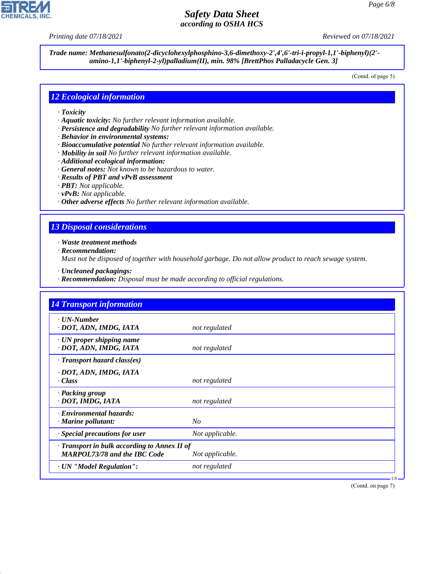**CHEMICALS, INC** 

*Printing date 07/18/2021 Reviewed on 07/18/2021*

*Trade name: Methanesulfonato(2-dicyclohexylphosphino-3,6-dimethoxy-2',4',6'-tri-i-propyl-1,1'-biphenyl)(2' amino-1,1'-biphenyl-2-yl)palladium(II), min. 98% [BrettPhos Palladacycle Gen. 3]*

(Contd. of page 5)

#### *12 Ecological information*

- *· Toxicity*
- *· Aquatic toxicity: No further relevant information available.*
- *· Persistence and degradability No further relevant information available.*
- *· Behavior in environmental systems:*
- *· Bioaccumulative potential No further relevant information available.*
- *· Mobility in soil No further relevant information available.*
- *· Additional ecological information:*
- *· General notes: Not known to be hazardous to water.*
- *· Results of PBT and vPvB assessment*
- *· PBT: Not applicable.*
- *· vPvB: Not applicable.*
- *· Other adverse effects No further relevant information available.*

#### *13 Disposal considerations*

*· Waste treatment methods*

*· Recommendation:*

44.1.1

*Must not be disposed of together with household garbage. Do not allow product to reach sewage system.*

- *· Uncleaned packagings:*
- *· Recommendation: Disposal must be made according to official regulations.*

| <b>14 Transport information</b>                                                     |                 |
|-------------------------------------------------------------------------------------|-----------------|
| · UN-Number<br>· DOT, ADN, IMDG, IATA                                               | not regulated   |
| $\cdot$ UN proper shipping name<br>· DOT, ADN, IMDG, IATA                           | not regulated   |
| $\cdot$ Transport hazard class(es)                                                  |                 |
| · DOT, ADN, IMDG, IATA<br>· Class                                                   | not regulated   |
| · Packing group<br>· DOT, IMDG, IATA                                                | not regulated   |
| · Environmental hazards:<br>$\cdot$ Marine pollutant:                               | N <sub>O</sub>  |
| · Special precautions for user                                                      | Not applicable. |
| · Transport in bulk according to Annex II of<br><b>MARPOL73/78 and the IBC Code</b> | Not applicable. |
| · UN "Model Regulation":                                                            | not regulated   |

(Contd. on page 7)

US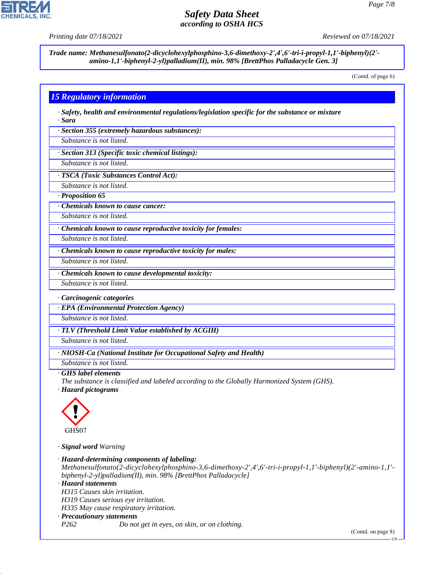

*Printing date 07/18/2021 Reviewed on 07/18/2021*

*Trade name: Methanesulfonato(2-dicyclohexylphosphino-3,6-dimethoxy-2',4',6'-tri-i-propyl-1,1'-biphenyl)(2' amino-1,1'-biphenyl-2-yl)palladium(II), min. 98% [BrettPhos Palladacycle Gen. 3]*

(Contd. of page 6)

## *15 Regulatory information*

*· Safety, health and environmental regulations/legislation specific for the substance or mixture · Sara*

*· Section 355 (extremely hazardous substances):*

*Substance is not listed.*

*· Section 313 (Specific toxic chemical listings):*

*Substance is not listed.*

*· TSCA (Toxic Substances Control Act):*

*Substance is not listed.*

*· Proposition 65*

*· Chemicals known to cause cancer:*

*Substance is not listed.*

*· Chemicals known to cause reproductive toxicity for females:*

*Substance is not listed.*

*· Chemicals known to cause reproductive toxicity for males:*

*· Chemicals known to cause developmental toxicity:*

*Substance is not listed.*

*Substance is not listed.*

*· Carcinogenic categories*

*· EPA (Environmental Protection Agency)*

*Substance is not listed.*

*· TLV (Threshold Limit Value established by ACGIH)*

*Substance is not listed.*

*· NIOSH-Ca (National Institute for Occupational Safety and Health)*

*Substance is not listed.*

#### *· GHS label elements*

*The substance is classified and labeled according to the Globally Harmonized System (GHS).*

*· Hazard pictograms*



44.1.1

*· Signal word Warning*

*· Hazard-determining components of labeling: Methanesulfonato(2-dicyclohexylphosphino-3,6-dimethoxy-2',4',6'-tri-i-propyl-1,1'-biphenyl)(2'-amino-1,1' biphenyl-2-yl)palladium(II), min. 98% [BrettPhos Palladacycle] · Hazard statements H315 Causes skin irritation. H319 Causes serious eye irritation. H335 May cause respiratory irritation. · Precautionary statements P262 Do not get in eyes, on skin, or on clothing.*

(Contd. on page 8)

US